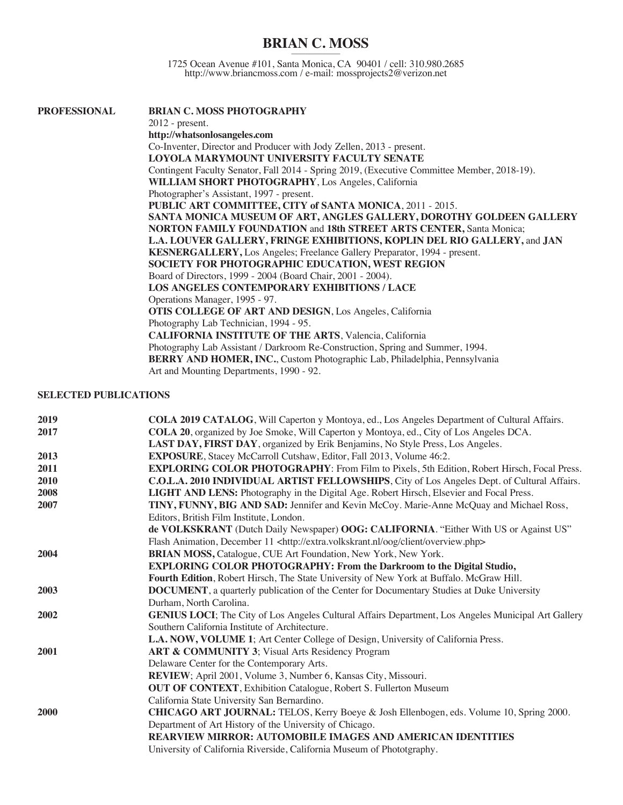## **BRIAN C. MOSS** \_\_\_\_\_\_\_\_\_\_\_\_\_\_

1725 Ocean Avenue #101, Santa Monica, CA 90401 / cell: 310.980.2685 http://www.briancmoss.com / e-mail: mossprojects2@verizon.net

| <b>PROFESSIONAL</b> | <b>BRIAN C. MOSS PHOTOGRAPHY</b>                                                            |
|---------------------|---------------------------------------------------------------------------------------------|
|                     | $2012$ - present.                                                                           |
|                     | http://whatsonlosangeles.com                                                                |
|                     | Co-Inventer, Director and Producer with Jody Zellen, 2013 - present.                        |
|                     | LOYOLA MARYMOUNT UNIVERSITY FACULTY SENATE                                                  |
|                     | Contingent Faculty Senator, Fall 2014 - Spring 2019, (Executive Committee Member, 2018-19). |
|                     | <b>WILLIAM SHORT PHOTOGRAPHY, Los Angeles, California</b>                                   |
|                     | Photographer's Assistant, 1997 - present.                                                   |
|                     | PUBLIC ART COMMITTEE, CITY of SANTA MONICA, 2011 - 2015.                                    |
|                     | SANTA MONICA MUSEUM OF ART, ANGLES GALLERY, DOROTHY GOLDEEN GALLERY                         |
|                     | <b>NORTON FAMILY FOUNDATION and 18th STREET ARTS CENTER, Santa Monica;</b>                  |
|                     | L.A. LOUVER GALLERY, FRINGE EXHIBITIONS, KOPLIN DEL RIO GALLERY, and JAN                    |
|                     | KESNERGALLERY, Los Angeles; Freelance Gallery Preparator, 1994 - present.                   |
|                     | SOCIETY FOR PHOTOGRAPHIC EDUCATION, WEST REGION                                             |
|                     | Board of Directors, 1999 - 2004 (Board Chair, 2001 - 2004).                                 |
|                     | <b>LOS ANGELES CONTEMPORARY EXHIBITIONS / LACE</b>                                          |
|                     | Operations Manager, 1995 - 97.                                                              |
|                     | <b>OTIS COLLEGE OF ART AND DESIGN, Los Angeles, California</b>                              |
|                     | Photography Lab Technician, 1994 - 95.                                                      |
|                     | <b>CALIFORNIA INSTITUTE OF THE ARTS, Valencia, California</b>                               |
|                     | Photography Lab Assistant / Darkroom Re-Construction, Spring and Summer, 1994.              |
|                     | <b>BERRY AND HOMER, INC.</b> , Custom Photographic Lab, Philadelphia, Pennsylvania          |
|                     | Art and Mounting Departments, 1990 - 92.                                                    |
|                     |                                                                                             |

## **SELECTED PUBLICATIONS**

| 2019 | COLA 2019 CATALOG, Will Caperton y Montoya, ed., Los Angeles Department of Cultural Affairs.         |
|------|------------------------------------------------------------------------------------------------------|
| 2017 | <b>COLA 20</b> , organized by Joe Smoke, Will Caperton y Montoya, ed., City of Los Angeles DCA.      |
|      | LAST DAY, FIRST DAY, organized by Erik Benjamins, No Style Press, Los Angeles.                       |
| 2013 | EXPOSURE, Stacey McCarroll Cutshaw, Editor, Fall 2013, Volume 46:2.                                  |
| 2011 | <b>EXPLORING COLOR PHOTOGRAPHY:</b> From Film to Pixels, 5th Edition, Robert Hirsch, Focal Press.    |
| 2010 | C.O.L.A. 2010 INDIVIDUAL ARTIST FELLOWSHIPS, City of Los Angeles Dept. of Cultural Affairs.          |
| 2008 | <b>LIGHT AND LENS:</b> Photography in the Digital Age. Robert Hirsch, Elsevier and Focal Press.      |
| 2007 | TINY, FUNNY, BIG AND SAD: Jennifer and Kevin McCoy. Marie-Anne McQuay and Michael Ross,              |
|      | Editors, British Film Institute, London.                                                             |
|      | de VOLKSKRANT (Dutch Daily Newspaper) OOG: CALIFORNIA. "Either With US or Against US"                |
|      | Flash Animation, December 11 <http: client="" extra.volkskrant.nl="" oog="" overview.php=""></http:> |
| 2004 | BRIAN MOSS, Catalogue, CUE Art Foundation, New York, New York.                                       |
|      | <b>EXPLORING COLOR PHOTOGRAPHY: From the Darkroom to the Digital Studio,</b>                         |
|      | Fourth Edition, Robert Hirsch, The State University of New York at Buffalo. McGraw Hill.             |
| 2003 | <b>DOCUMENT</b> , a quarterly publication of the Center for Documentary Studies at Duke University   |
|      | Durham, North Carolina.                                                                              |
| 2002 | GENIUS LOCI; The City of Los Angeles Cultural Affairs Department, Los Angeles Municipal Art Gallery  |
|      | Southern California Institute of Architecture.                                                       |
|      | L.A. NOW, VOLUME 1; Art Center College of Design, University of California Press.                    |
| 2001 | ART & COMMUNITY 3; Visual Arts Residency Program                                                     |
|      | Delaware Center for the Contemporary Arts.                                                           |
|      | REVIEW; April 2001, Volume 3, Number 6, Kansas City, Missouri.                                       |
|      | <b>OUT OF CONTEXT</b> , Exhibition Catalogue, Robert S. Fullerton Museum                             |
|      | California State University San Bernardino.                                                          |
| 2000 | CHICAGO ART JOURNAL: TELOS, Kerry Boeye & Josh Ellenbogen, eds. Volume 10, Spring 2000.              |
|      | Department of Art History of the University of Chicago.                                              |
|      | <b>REARVIEW MIRROR: AUTOMOBILE IMAGES AND AMERICAN IDENTITIES</b>                                    |
|      | University of California Riverside, California Museum of Phototgraphy.                               |